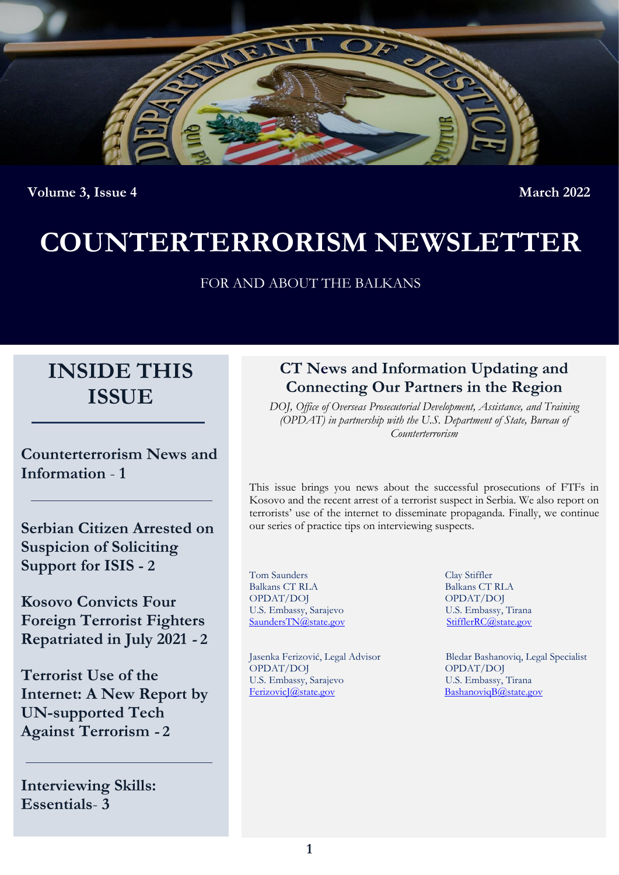

**Volume 3, Issue 4** March<sub>2022</sub> March<sub>2022</sub>

# **COUNTERTERRORISM NEWSLETTER**

FOR AND ABOUT THE BALKANS

# **INSIDE THIS ISSUE**

**Counterterrorism News and Information** - **1**

**Serbian Citizen Arrested on Suspicion of Soliciting Support for ISIS - 2**

**Kosovo Convicts Four Foreign Terrorist Fighters Repatriated in July 2021 - 2**

**Terrorist Use of the Internet: A New Report by UN-supported Tech Against Terrorism - 2**

**Interviewing Skills: Essentials**- **3**

### **CT News and Information Updating and Connecting Our Partners in the Region**

*DOJ, Office of Overseas Prosecutorial Development, Assistance, and Training (OPDAT) in partnership with the U.S. Department of State, Bureau of Counterterrorism*

This issue brings you news about the successful prosecutions of FTFs in Kosovo and the recent arrest of a terrorist suspect in Serbia. We also report on terrorists' use of the internet to disseminate propaganda. Finally, we continue our series of practice tips on interviewing suspects.

Tom Saunders Clay Stiffler Balkans CT RLA Balkans CT RLA OPDAT/DOJ<br>
U.S. Embassy, Sarajevo<br>
U.S. Embassy, Tirana U.S. Embassy, Sarajevo U.S. Embassy, Tirana<br>
Saunders TN@state.gov Stiffler RC@state.gov SaundersTN@state.gov

OPDAT/DOJ OPDAT/DOJ U.S. Embassy, Sarajevo U.S. Embassy, Tirana<br>
Ferizovic *I@state.gov* Bashanovig B@state.gov

Jasenka Ferizović, Legal Advisor Bledar Bashanoviq, Legal Specialist [BashanoviqB@state.gov](mailto:BashanoviqB@state.gov)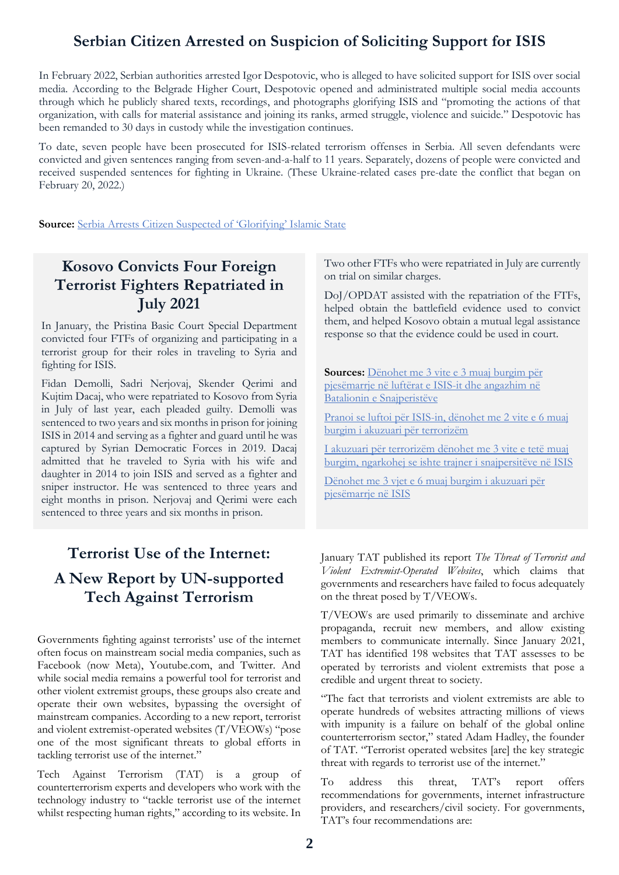#### **Serbian Citizen Arrested on Suspicion of Soliciting Support for ISIS**

In February 2022, Serbian authorities arrested Igor Despotovic, who is alleged to have solicited support for ISIS over social media. According to the Belgrade Higher Court, Despotovic opened and administrated multiple social media accounts through which he publicly shared texts, recordings, and photographs glorifying ISIS and "promoting the actions of that organization, with calls for material assistance and joining its ranks, armed struggle, violence and suicide." Despotovic has been remanded to 30 days in custody while the investigation continues.

To date, seven people have been prosecuted for ISIS-related terrorism offenses in Serbia. All seven defendants were convicted and given sentences ranging from seven-and-a-half to 11 years. Separately, dozens of people were convicted and received suspended sentences for fighting in Ukraine. (These Ukraine-related cases pre-date the conflict that began on February 20, 2022.)

**Source:** [Serbia Arrests Citizen Suspected of 'Glorifying' Islamic State](https://balkaninsight.com/2022/02/21/serbia-arrests-citizen-suspected-of-glorifying-islamic-state/)

#### **Kosovo Convicts Four Foreign Terrorist Fighters Repatriated in July 2021**

In January, the Pristina Basic Court Special Department convicted four FTFs of organizing and participating in a terrorist group for their roles in traveling to Syria and fighting for ISIS.

Fidan Demolli, Sadri Nerjovaj, Skender Qerimi and Kujtim Dacaj, who were repatriated to Kosovo from Syria in July of last year, each pleaded guilty. Demolli was sentenced to two years and six months in prison for joining ISIS in 2014 and serving as a fighter and guard until he was captured by Syrian Democratic Forces in 2019. Dacaj admitted that he traveled to Syria with his wife and daughter in 2014 to join ISIS and served as a fighter and sniper instructor. He was sentenced to three years and eight months in prison. Nerjovaj and Qerimi were each sentenced to three years and six months in prison.

# **Terrorist Use of the Internet: A New Report by UN-supported Tech Against Terrorism**

Governments fighting against terrorists' use of the internet often focus on mainstream social media companies, such as Facebook (now Meta), Youtube.com, and Twitter. And while social media remains a powerful tool for terrorist and other violent extremist groups, these groups also create and operate their own websites, bypassing the oversight of mainstream companies. According to a new report, terrorist and violent extremist-operated websites (T/VEOWs) "pose one of the most significant threats to global efforts in tackling terrorist use of the internet."

Tech Against Terrorism (TAT) is a group of counterterrorism experts and developers who work with the technology industry to "tackle terrorist use of the internet whilst respecting human rights," according to its website. In Two other FTFs who were repatriated in July are currently on trial on similar charges.

DoJ/OPDAT assisted with the repatriation of the FTFs, helped obtain the battlefield evidence used to convict them, and helped Kosovo obtain a mutual legal assistance response so that the evidence could be used in court.

**Sources:** [Dënohet me 3 vite e 3 muaj burgim për](https://betimiperdrejtesi.com/denohet-me-3-vite-e-3-muaj-burgim-per-pjesemarrje-ne-lufterat-e-isis-it-dhe-angazhim-ne-batalionin-e-snajperisteve/)  [pjesëmarrje në luftërat e ISIS-it dhe angazhim në](https://betimiperdrejtesi.com/denohet-me-3-vite-e-3-muaj-burgim-per-pjesemarrje-ne-lufterat-e-isis-it-dhe-angazhim-ne-batalionin-e-snajperisteve/)  [Batalionin e Snajperistëve](https://betimiperdrejtesi.com/denohet-me-3-vite-e-3-muaj-burgim-per-pjesemarrje-ne-lufterat-e-isis-it-dhe-angazhim-ne-batalionin-e-snajperisteve/)

[Pranoi se luftoi për ISIS-in, dënohet me 2 vite e 6 muaj](https://betimiperdrejtesi.com/pranoi-se-luftoi-per-isis-in-denohet-me-2-vite-e-6-muaj-burgim-i-akuzuari-per-terrorizem/)  [burgim i akuzuari për terrorizëm](https://betimiperdrejtesi.com/pranoi-se-luftoi-per-isis-in-denohet-me-2-vite-e-6-muaj-burgim-i-akuzuari-per-terrorizem/)

[I akuzuari për terrorizëm dënohet me 3 vite e tetë muaj](https://betimiperdrejtesi.com/i-akuzuari-per-terrorizem-denohet-me-3-vite-e-tete-muaj-burgim-ngarkohej-se-ishte-trajner-i-snajpersiteve-ne-isis/)  [burgim, ngarkohej se ishte trajner i snajpersitëve](https://betimiperdrejtesi.com/i-akuzuari-per-terrorizem-denohet-me-3-vite-e-tete-muaj-burgim-ngarkohej-se-ishte-trajner-i-snajpersiteve-ne-isis/) në ISIS

[Dënohet me 3 vjet e 6 muaj burgim i akuzuari për](https://betimiperdrejtesi.com/denohet-me-3-vjet-e-6-muaj-burgim-i-akuzuari-per-pjesemarrje-ne-isis/)  [pjesëmarrje në ISIS](https://betimiperdrejtesi.com/denohet-me-3-vjet-e-6-muaj-burgim-i-akuzuari-per-pjesemarrje-ne-isis/)

January TAT published its report *The Threat of Terrorist and Violent Extremist-Operated Websites*, which claims that governments and researchers have failed to focus adequately on the threat posed by T/VEOWs.

T/VEOWs are used primarily to disseminate and archive propaganda, recruit new members, and allow existing members to communicate internally. Since January 2021, TAT has identified 198 websites that TAT assesses to be operated by terrorists and violent extremists that pose a credible and urgent threat to society.

"The fact that terrorists and violent extremists are able to operate hundreds of websites attracting millions of views with impunity is a failure on behalf of the global online counterterrorism sector," stated Adam Hadley, the founder of TAT. "Terrorist operated websites [are] the key strategic threat with regards to terrorist use of the internet."

To address this threat, TAT's report offers recommendations for governments, internet infrastructure providers, and researchers/civil society. For governments, TAT's four recommendations are: